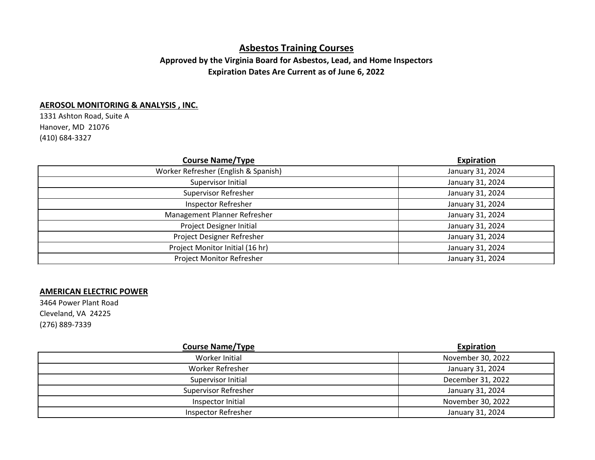# **Asbestos Training Courses**

# **Approved by the Virginia Board for Asbestos, Lead, and Home Inspectors Expiration Dates Are Current as of June 6, 2022**

#### **AEROSOL MONITORING & ANALYSIS , INC.**

1331 Ashton Road, Suite A Hanover, MD 21076 (410) 684-3327

| <b>Course Name/Type</b>              | <b>Expiration</b> |
|--------------------------------------|-------------------|
| Worker Refresher (English & Spanish) | January 31, 2024  |
| Supervisor Initial                   | January 31, 2024  |
| <b>Supervisor Refresher</b>          | January 31, 2024  |
| <b>Inspector Refresher</b>           | January 31, 2024  |
| Management Planner Refresher         | January 31, 2024  |
| <b>Project Designer Initial</b>      | January 31, 2024  |
| Project Designer Refresher           | January 31, 2024  |
| Project Monitor Initial (16 hr)      | January 31, 2024  |
| Project Monitor Refresher            | January 31, 2024  |

#### **AMERICAN ELECTRIC POWER**

3464 Power Plant Road Cleveland, VA 24225 (276) 889-7339

| <b>Course Name/Type</b>     | Expiration        |
|-----------------------------|-------------------|
| Worker Initial              | November 30, 2022 |
| <b>Worker Refresher</b>     | January 31, 2024  |
| Supervisor Initial          | December 31, 2022 |
| <b>Supervisor Refresher</b> | January 31, 2024  |
| Inspector Initial           | November 30, 2022 |
| <b>Inspector Refresher</b>  | January 31, 2024  |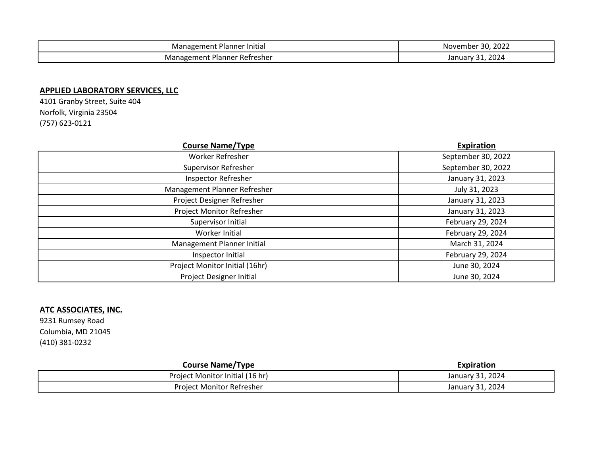| .<br>Planner<br>: Initiai<br>anagem.<br>wian.<br>en. | 2022<br>Novembe.        |
|------------------------------------------------------|-------------------------|
| Planner<br>. Refresher<br>Management                 | 202<br>$\sim$<br>Januar |

## **APPLIED LABORATORY SERVICES, LLC**

4101 Granby Street, Suite 404 Norfolk, Virginia 23504 (757) 623-0121

| <b>Course Name/Type</b>        | <b>Expiration</b>  |
|--------------------------------|--------------------|
| Worker Refresher               | September 30, 2022 |
| <b>Supervisor Refresher</b>    | September 30, 2022 |
| Inspector Refresher            | January 31, 2023   |
| Management Planner Refresher   | July 31, 2023      |
| Project Designer Refresher     | January 31, 2023   |
| Project Monitor Refresher      | January 31, 2023   |
| Supervisor Initial             | February 29, 2024  |
| Worker Initial                 | February 29, 2024  |
| Management Planner Initial     | March 31, 2024     |
| Inspector Initial              | February 29, 2024  |
| Project Monitor Initial (16hr) | June 30, 2024      |
| Project Designer Initial       | June 30, 2024      |

# **ATC ASSOCIATES, INC.**

9231 Rumsey Road Columbia, MD 21045 (410) 381-0232

| <b>Course Name/Type</b>         | Expiration       |
|---------------------------------|------------------|
| Project Monitor Initial (16 hr) | January 31, 2024 |
| Project Monitor Refresher       | January 31, 2024 |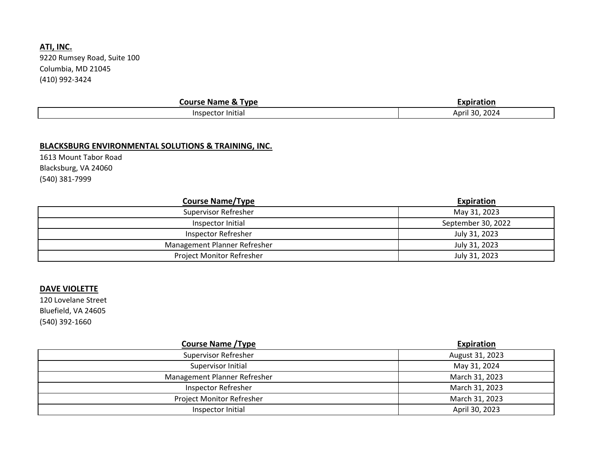# **ATI, INC.**

9220 Rumsey Road, Suite 100 Columbia, MD 21045 (410) 992-3424

| <b>Course Name &amp; Type</b> | Expiration       |
|-------------------------------|------------------|
| Inspector Initial             | 2024<br>April 30 |

## **BLACKSBURG ENVIRONMENTAL SOLUTIONS & TRAINING, INC.**

1613 Mount Tabor Road Blacksburg, VA 24060 (540) 381-7999

| <b>Course Name/Type</b>          | Expiration         |
|----------------------------------|--------------------|
| <b>Supervisor Refresher</b>      | May 31, 2023       |
| Inspector Initial                | September 30, 2022 |
| Inspector Refresher              | July 31, 2023      |
| Management Planner Refresher     | July 31, 2023      |
| <b>Project Monitor Refresher</b> | July 31, 2023      |

#### **DAVE VIOLETTE**

120 Lovelane Street Bluefield, VA 24605 (540) 392-1660

| <b>Course Name / Type</b>    | Expiration      |
|------------------------------|-----------------|
| <b>Supervisor Refresher</b>  | August 31, 2023 |
| Supervisor Initial           | May 31, 2024    |
| Management Planner Refresher | March 31, 2023  |
| <b>Inspector Refresher</b>   | March 31, 2023  |
| Project Monitor Refresher    | March 31, 2023  |
| Inspector Initial            | April 30, 2023  |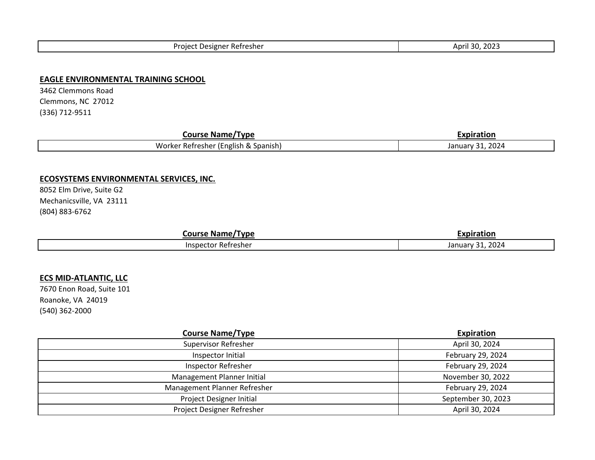| . Refresher<br>Project<br>. Designer | -2025<br>ີ<br>April<br>יי |
|--------------------------------------|---------------------------|
|--------------------------------------|---------------------------|

#### **EAGLE ENVIRONMENTAL TRAINING SCHOOL**

3462 Clemmons Road Clemmons, NC 27012 (336) 712-9511

| Course<br>Tvne<br>: Name                               | Expiration                  |
|--------------------------------------------------------|-----------------------------|
| . .<br>.<br>(English & Spanish)<br>Worker Refresher '' | 2024<br>Januar <sup>,</sup> |

#### **ECOSYSTEMS ENVIRONMENTAL SERVICES, INC.**

8052 Elm Drive, Suite G2 Mechanicsville, VA 23111 (804) 883-6762

| ourse<br>'Tvne<br><b>NAMA</b><br>IVc | Expiration                                              |
|--------------------------------------|---------------------------------------------------------|
| Refresher<br>aisbec                  | 2024<br>$\mathbf{a}$<br>1.2.7<br><b>Januar</b><br>r \ / |

#### **ECS MID-ATLANTIC, LLC**

7670 Enon Road, Suite 101 Roanoke, VA 24019 (540) 362-2000

| <b>Course Name/Type</b>         | <b>Expiration</b>  |
|---------------------------------|--------------------|
| <b>Supervisor Refresher</b>     | April 30, 2024     |
| Inspector Initial               | February 29, 2024  |
| <b>Inspector Refresher</b>      | February 29, 2024  |
| Management Planner Initial      | November 30, 2022  |
| Management Planner Refresher    | February 29, 2024  |
| <b>Project Designer Initial</b> | September 30, 2023 |
| Project Designer Refresher      | April 30, 2024     |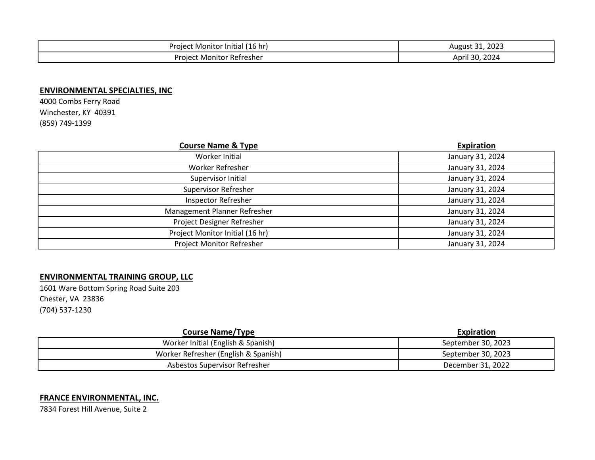| $\sqrt{2}$                       | 2023                |
|----------------------------------|---------------------|
| 16 hr                            | $\sim$              |
| – Project "                      | August              |
| . Monitor Initial '              | ___                 |
| . Monitor Refresher<br>Proiect N | 2024<br>30<br>Apri' |

#### **ENVIRONMENTAL SPECIALTIES, INC**

4000 Combs Ferry Road Winchester, KY 40391 (859) 749-1399

| <b>Course Name &amp; Type</b>   | <b>Expiration</b> |
|---------------------------------|-------------------|
| Worker Initial                  | January 31, 2024  |
| Worker Refresher                | January 31, 2024  |
| Supervisor Initial              | January 31, 2024  |
| <b>Supervisor Refresher</b>     | January 31, 2024  |
| <b>Inspector Refresher</b>      | January 31, 2024  |
| Management Planner Refresher    | January 31, 2024  |
| Project Designer Refresher      | January 31, 2024  |
| Project Monitor Initial (16 hr) | January 31, 2024  |
| Project Monitor Refresher       | January 31, 2024  |

## **ENVIRONMENTAL TRAINING GROUP, LLC**

1601 Ware Bottom Spring Road Suite 203 Chester, VA 23836 (704) 537-1230

| <b>Course Name/Type</b>              | Expiration         |
|--------------------------------------|--------------------|
| Worker Initial (English & Spanish)   | September 30, 2023 |
| Worker Refresher (English & Spanish) | September 30, 2023 |
| Asbestos Supervisor Refresher        | December 31, 2022  |

#### **FRANCE ENVIRONMENTAL, INC.**

7834 Forest Hill Avenue, Suite 2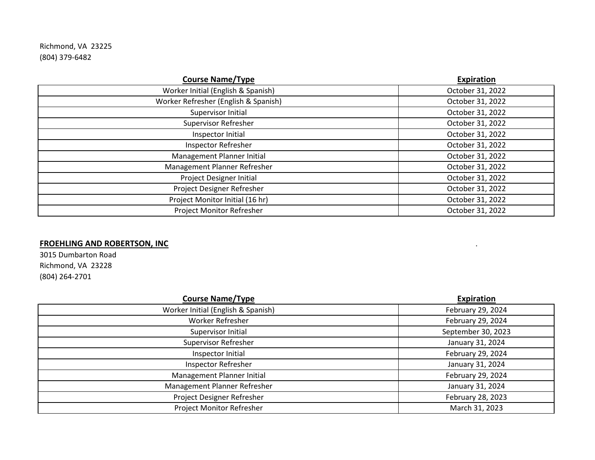Richmond, VA 23225 (804) 379-6482

| <b>Course Name/Type</b>              | <b>Expiration</b> |
|--------------------------------------|-------------------|
| Worker Initial (English & Spanish)   | October 31, 2022  |
| Worker Refresher (English & Spanish) | October 31, 2022  |
| Supervisor Initial                   | October 31, 2022  |
| Supervisor Refresher                 | October 31, 2022  |
| Inspector Initial                    | October 31, 2022  |
| <b>Inspector Refresher</b>           | October 31, 2022  |
| Management Planner Initial           | October 31, 2022  |
| Management Planner Refresher         | October 31, 2022  |
| Project Designer Initial             | October 31, 2022  |
| Project Designer Refresher           | October 31, 2022  |
| Project Monitor Initial (16 hr)      | October 31, 2022  |
| Project Monitor Refresher            | October 31, 2022  |

# **FROEHLING AND ROBERTSON, INC** .

3015 Dumbarton Road Richmond, VA 23228 (804) 264-2701

| <b>Course Name/Type</b>            | <b>Expiration</b>  |
|------------------------------------|--------------------|
| Worker Initial (English & Spanish) | February 29, 2024  |
| Worker Refresher                   | February 29, 2024  |
| Supervisor Initial                 | September 30, 2023 |
| <b>Supervisor Refresher</b>        | January 31, 2024   |
| Inspector Initial                  | February 29, 2024  |
| <b>Inspector Refresher</b>         | January 31, 2024   |
| Management Planner Initial         | February 29, 2024  |
| Management Planner Refresher       | January 31, 2024   |
| Project Designer Refresher         | February 28, 2023  |
| Project Monitor Refresher          | March 31, 2023     |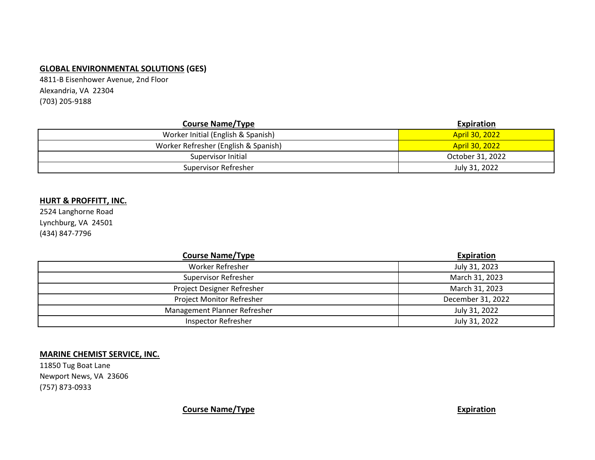## **GLOBAL ENVIRONMENTAL SOLUTIONS (GES)**

4811-B Eisenhower Avenue, 2nd Floor Alexandria, VA 22304 (703) 205-9188

| <b>Course Name/Type</b>              | Expiration            |
|--------------------------------------|-----------------------|
| Worker Initial (English & Spanish)   | <b>April 30, 2022</b> |
| Worker Refresher (English & Spanish) | <b>April 30, 2022</b> |
| Supervisor Initial                   | October 31, 2022      |
| Supervisor Refresher                 | July 31, 2022         |

#### **HURT & PROFFITT, INC.**

2524 Langhorne Road Lynchburg, VA 24501 (434) 847-7796

| <b>Course Name/Type</b>      | Expiration        |
|------------------------------|-------------------|
| <b>Worker Refresher</b>      | July 31, 2023     |
| <b>Supervisor Refresher</b>  | March 31, 2023    |
| Project Designer Refresher   | March 31, 2023    |
| Project Monitor Refresher    | December 31, 2022 |
| Management Planner Refresher | July 31, 2022     |
| <b>Inspector Refresher</b>   | July 31, 2022     |

#### **MARINE CHEMIST SERVICE, INC.**

11850 Tug Boat Lane Newport News, VA 23606 (757) 873-0933

**Course Name/Type Expiration**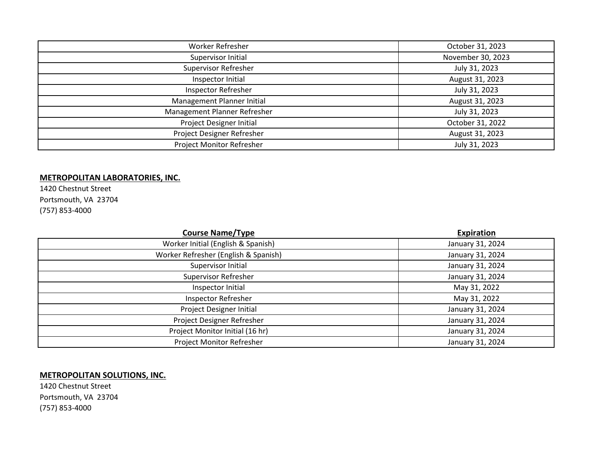| Worker Refresher                | October 31, 2023  |
|---------------------------------|-------------------|
| Supervisor Initial              | November 30, 2023 |
| <b>Supervisor Refresher</b>     | July 31, 2023     |
| Inspector Initial               | August 31, 2023   |
| <b>Inspector Refresher</b>      | July 31, 2023     |
| Management Planner Initial      | August 31, 2023   |
| Management Planner Refresher    | July 31, 2023     |
| <b>Project Designer Initial</b> | October 31, 2022  |
| Project Designer Refresher      | August 31, 2023   |
| Project Monitor Refresher       | July 31, 2023     |

## **METROPOLITAN LABORATORIES, INC.**

1420 Chestnut Street Portsmouth, VA 23704 (757) 853-4000

| <b>Course Name/Type</b>              | Expiration       |
|--------------------------------------|------------------|
| Worker Initial (English & Spanish)   | January 31, 2024 |
| Worker Refresher (English & Spanish) | January 31, 2024 |
| Supervisor Initial                   | January 31, 2024 |
| Supervisor Refresher                 | January 31, 2024 |
| Inspector Initial                    | May 31, 2022     |
| Inspector Refresher                  | May 31, 2022     |
| Project Designer Initial             | January 31, 2024 |
| Project Designer Refresher           | January 31, 2024 |
| Project Monitor Initial (16 hr)      | January 31, 2024 |
| Project Monitor Refresher            | January 31, 2024 |

## **METROPOLITAN SOLUTIONS, INC.**

1420 Chestnut Street Portsmouth, VA 23704 (757) 853-4000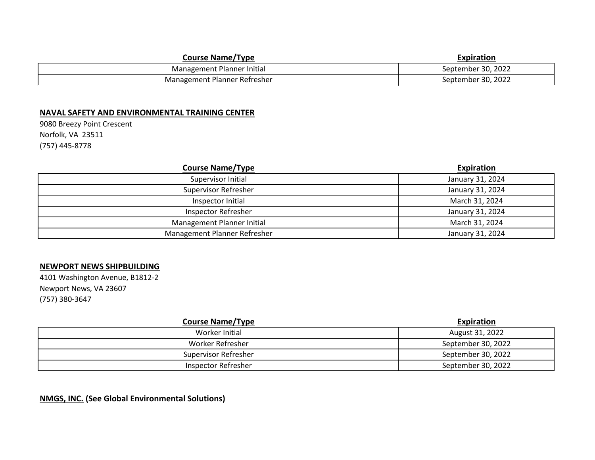| <b>Course Name/Type</b>      | Expiration         |
|------------------------------|--------------------|
| Management Planner Initial   | September 30, 2022 |
| Management Planner Refresher | September 30, 2022 |

#### **NAVAL SAFETY AND ENVIRONMENTAL TRAINING CENTER**

9080 Breezy Point Crescent Norfolk, VA 23511 (757) 445-8778

| <b>Course Name/Type</b>      | <b>Expiration</b> |
|------------------------------|-------------------|
| Supervisor Initial           | January 31, 2024  |
| <b>Supervisor Refresher</b>  | January 31, 2024  |
| Inspector Initial            | March 31, 2024    |
| <b>Inspector Refresher</b>   | January 31, 2024  |
| Management Planner Initial   | March 31, 2024    |
| Management Planner Refresher | January 31, 2024  |

#### **NEWPORT NEWS SHIPBUILDING**

4101 Washington Avenue, B1812-2 Newport News, VA 23607 (757) 380-3647

| <b>Course Name/Type</b>     | Expiration         |
|-----------------------------|--------------------|
| Worker Initial              | August 31, 2022    |
| Worker Refresher            | September 30, 2022 |
| <b>Supervisor Refresher</b> | September 30, 2022 |
| Inspector Refresher         | September 30, 2022 |

## **NMGS, INC. (See Global Environmental Solutions)**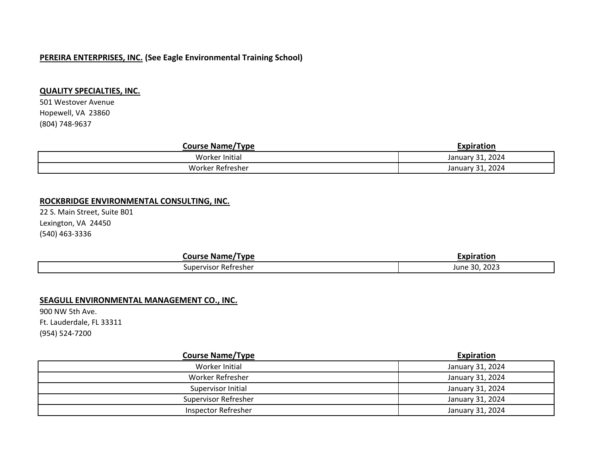#### **PEREIRA ENTERPRISES, INC. (See Eagle Environmental Training School)**

#### **QUALITY SPECIALTIES, INC.**

501 Westover Avenue Hopewell, VA 23860 (804) 748-9637

| <b>Course Name/Type</b> | Expiration                 |
|-------------------------|----------------------------|
| Worker Initial          | 1, 2024 را د<br>January 31 |
| Worker Refresher        | 1, 2024ء<br>January 31     |

#### **ROCKBRIDGE ENVIRONMENTAL CONSULTING, INC.**

22 S. Main Street, Suite B01 Lexington, VA 24450 (540) 463-3336

| Course<br>/Tvne<br>Name | .                                     |
|-------------------------|---------------------------------------|
| supervisor<br>Refresher | non-<br>$\sim$<br>June<br>51.<br>ZUZJ |

#### **SEAGULL ENVIRONMENTAL MANAGEMENT CO., INC.**

900 NW 5th Ave. Ft. Lauderdale, FL 33311 (954) 524-7200

| <b>Course Name/Type</b>     | Expiration       |
|-----------------------------|------------------|
| Worker Initial              | January 31, 2024 |
| Worker Refresher            | January 31, 2024 |
| Supervisor Initial          | January 31, 2024 |
| <b>Supervisor Refresher</b> | January 31, 2024 |
| Inspector Refresher         | January 31, 2024 |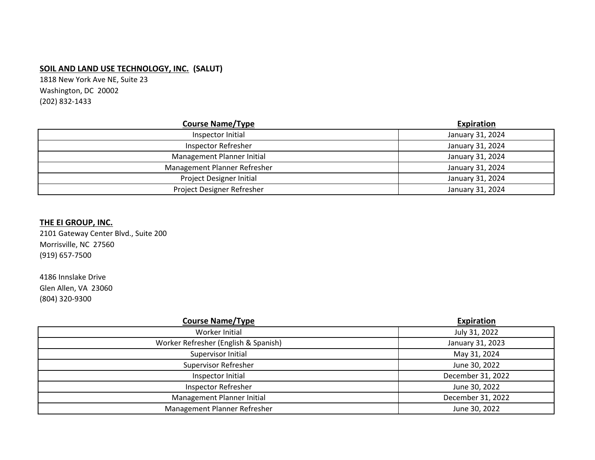## **SOIL AND LAND USE TECHNOLOGY, INC. (SALUT)**

1818 New York Ave NE, Suite 23 Washington, DC 20002 (202) 832-1433

| <b>Course Name/Type</b>      | <b>Expiration</b> |
|------------------------------|-------------------|
| Inspector Initial            | January 31, 2024  |
| Inspector Refresher          | January 31, 2024  |
| Management Planner Initial   | January 31, 2024  |
| Management Planner Refresher | January 31, 2024  |
| Project Designer Initial     | January 31, 2024  |
| Project Designer Refresher   | January 31, 2024  |

#### **THE EI GROUP, INC.**

2101 Gateway Center Blvd., Suite 200 Morrisville, NC 27560 (919) 657-7500

4186 Innslake Drive Glen Allen, VA 23060 (804) 320-9300

| <b>Course Name/Type</b>              | Expiration        |
|--------------------------------------|-------------------|
| Worker Initial                       | July 31, 2022     |
| Worker Refresher (English & Spanish) | January 31, 2023  |
| Supervisor Initial                   | May 31, 2024      |
| <b>Supervisor Refresher</b>          | June 30, 2022     |
| Inspector Initial                    | December 31, 2022 |
| <b>Inspector Refresher</b>           | June 30, 2022     |
| Management Planner Initial           | December 31, 2022 |
| Management Planner Refresher         | June 30, 2022     |